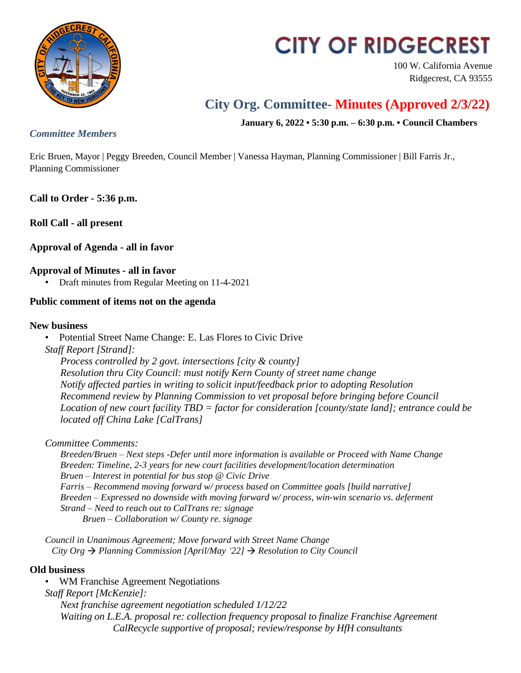

# **CITY OF RIDGECREST**

100 W. California Avenue Ridgecrest, CA 93555

# **City Org. Committee- Minutes (Approved 2/3/22)**

**January 6, 2022 • 5:30 p.m. – 6:30 p.m. • Council Chambers**

## *Committee Members*

Eric Bruen, Mayor | Peggy Breeden, Council Member | Vanessa Hayman, Planning Commissioner | Bill Farris Jr., Planning Commissioner

**Call to Order - 5:36 p.m.**

**Roll Call - all present**

# **Approval of Agenda - all in favor**

#### **Approval of Minutes - all in favor**

• Draft minutes from Regular Meeting on 11-4-2021

## **Public comment of items not on the agenda**

#### **New business**

• Potential Street Name Change: E. Las Flores to Civic Drive

*Staff Report [Strand]:*

*Process controlled by 2 govt. intersections [city & county] Resolution thru City Council: must notify Kern County of street name change Notify affected parties in writing to solicit input/feedback prior to adopting Resolution Recommend review by Planning Commission to vet proposal before bringing before Council Location of new court facility TBD = factor for consideration [county/state land]; entrance could be located off China Lake [CalTrans]*

*Committee Comments:*

*Breeden/Bruen – Next steps -Defer until more information is available or Proceed with Name Change Breeden: Timeline, 2-3 years for new court facilities development/location determination Bruen – Interest in potential for bus stop @ Civic Drive Farris – Recommend moving forward w/ process based on Committee goals [build narrative] Breeden – Expressed no downside with moving forward w/ process, win-win scenario vs. deferment Strand – Need to reach out to CalTrans re: signage Bruen – Collaboration w/ County re. signage*

*Council in Unanimous Agreement; Move forward with Street Name Change City Org*  $\rightarrow$  *Planning Commission [April/May*  $22$ *]*  $\rightarrow$  *Resolution to City Council* 

#### **Old business**

• WM Franchise Agreement Negotiations *Staff Report [McKenzie]: Next franchise agreement negotiation scheduled 1/12/22 Waiting on L.E.A. proposal re: collection frequency proposal to finalize Franchise Agreement CalRecycle supportive of proposal; review/response by HfH consultants*